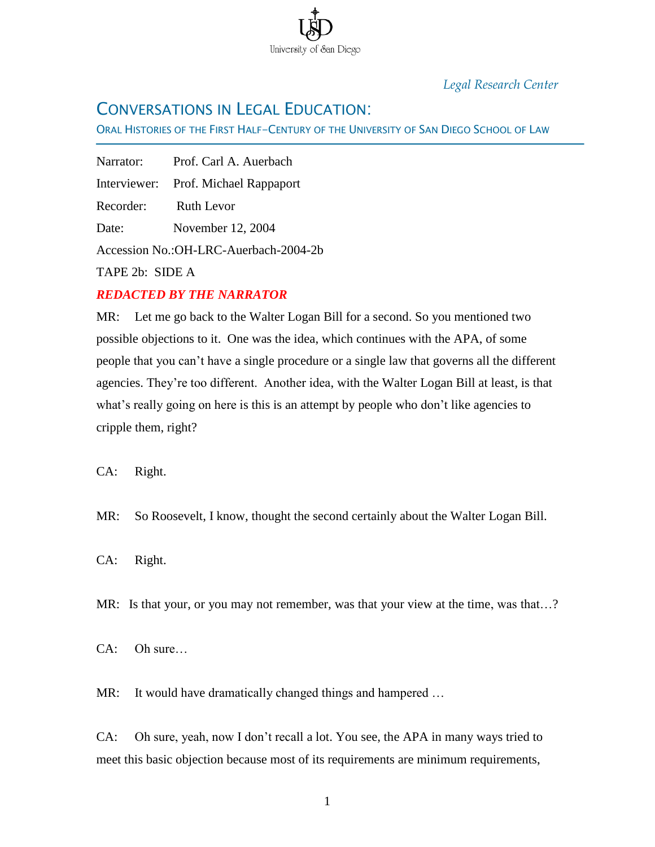

## *Legal Research Center*

## CONVERSATIONS IN LEGAL EDUCATION:

ORAL HISTORIES OF THE FIRST HALF-CENTURY OF THE UNIVERSITY OF SAN DIEGO SCHOOL OF LAW

Narrator: Prof. Carl A. Auerbach Interviewer: Prof. Michael Rappaport Recorder: Ruth Levor Date: November 12, 2004 Accession No.:OH-LRC-Auerbach-2004-2b

TAPE 2b: SIDE A

Ī

## *REDACTED BY THE NARRATOR*

MR: Let me go back to the Walter Logan Bill for a second. So you mentioned two possible objections to it. One was the idea, which continues with the APA, of some people that you can't have a single procedure or a single law that governs all the different agencies. They're too different. Another idea, with the Walter Logan Bill at least, is that what's really going on here is this is an attempt by people who don't like agencies to cripple them, right?

CA: Right.

MR: So Roosevelt, I know, thought the second certainly about the Walter Logan Bill.

CA: Right.

MR: Is that your, or you may not remember, was that your view at the time, was that...?

CA: Oh sure…

MR: It would have dramatically changed things and hampered ...

CA: Oh sure, yeah, now I don't recall a lot. You see, the APA in many ways tried to meet this basic objection because most of its requirements are minimum requirements,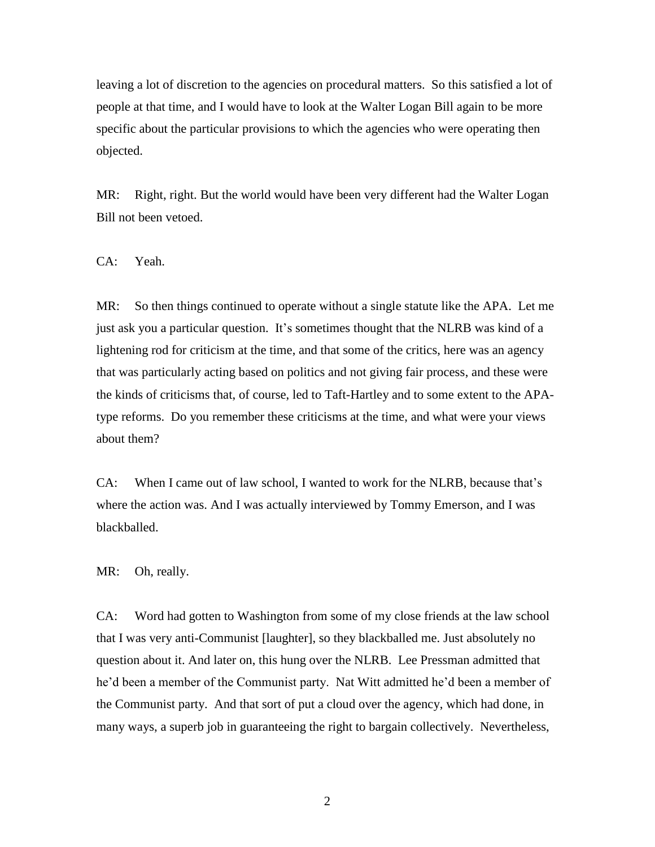leaving a lot of discretion to the agencies on procedural matters. So this satisfied a lot of people at that time, and I would have to look at the Walter Logan Bill again to be more specific about the particular provisions to which the agencies who were operating then objected.

MR: Right, right. But the world would have been very different had the Walter Logan Bill not been vetoed.

CA: Yeah.

MR: So then things continued to operate without a single statute like the APA. Let me just ask you a particular question. It's sometimes thought that the NLRB was kind of a lightening rod for criticism at the time, and that some of the critics, here was an agency that was particularly acting based on politics and not giving fair process, and these were the kinds of criticisms that, of course, led to Taft-Hartley and to some extent to the APAtype reforms. Do you remember these criticisms at the time, and what were your views about them?

CA: When I came out of law school, I wanted to work for the NLRB, because that's where the action was. And I was actually interviewed by Tommy Emerson, and I was blackballed.

MR: Oh, really.

CA: Word had gotten to Washington from some of my close friends at the law school that I was very anti-Communist [laughter], so they blackballed me. Just absolutely no question about it. And later on, this hung over the NLRB. Lee Pressman admitted that he'd been a member of the Communist party. Nat Witt admitted he'd been a member of the Communist party. And that sort of put a cloud over the agency, which had done, in many ways, a superb job in guaranteeing the right to bargain collectively. Nevertheless,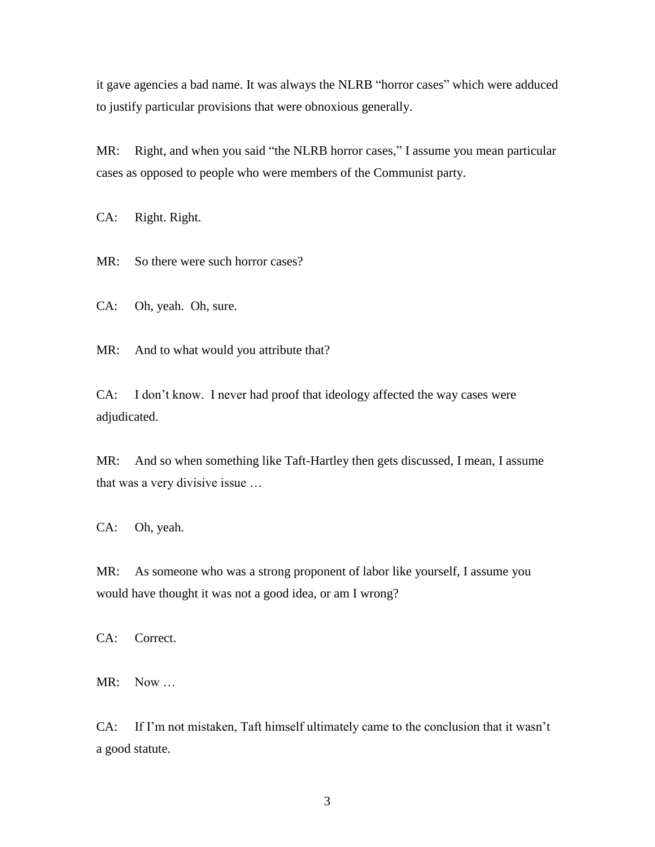it gave agencies a bad name. It was always the NLRB "horror cases" which were adduced to justify particular provisions that were obnoxious generally.

MR: Right, and when you said "the NLRB horror cases," I assume you mean particular cases as opposed to people who were members of the Communist party.

CA: Right. Right.

MR: So there were such horror cases?

CA: Oh, yeah. Oh, sure.

MR: And to what would you attribute that?

CA: I don't know. I never had proof that ideology affected the way cases were adjudicated.

MR: And so when something like Taft-Hartley then gets discussed, I mean, I assume that was a very divisive issue …

CA: Oh, yeah.

MR: As someone who was a strong proponent of labor like yourself, I assume you would have thought it was not a good idea, or am I wrong?

CA: Correct.

MR: Now …

CA: If I'm not mistaken, Taft himself ultimately came to the conclusion that it wasn't a good statute.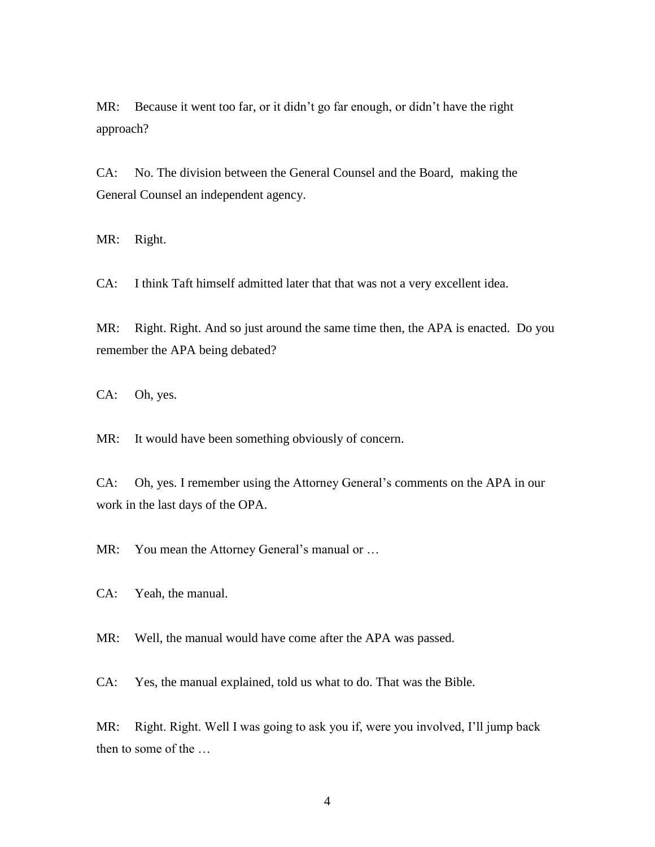MR: Because it went too far, or it didn't go far enough, or didn't have the right approach?

CA: No. The division between the General Counsel and the Board, making the General Counsel an independent agency.

MR: Right.

CA: I think Taft himself admitted later that that was not a very excellent idea.

MR: Right. Right. And so just around the same time then, the APA is enacted. Do you remember the APA being debated?

CA: Oh, yes.

MR: It would have been something obviously of concern.

CA: Oh, yes. I remember using the Attorney General's comments on the APA in our work in the last days of the OPA.

MR: You mean the Attorney General's manual or ...

CA: Yeah, the manual.

MR: Well, the manual would have come after the APA was passed.

CA: Yes, the manual explained, told us what to do. That was the Bible.

MR: Right. Right. Well I was going to ask you if, were you involved, I'll jump back then to some of the …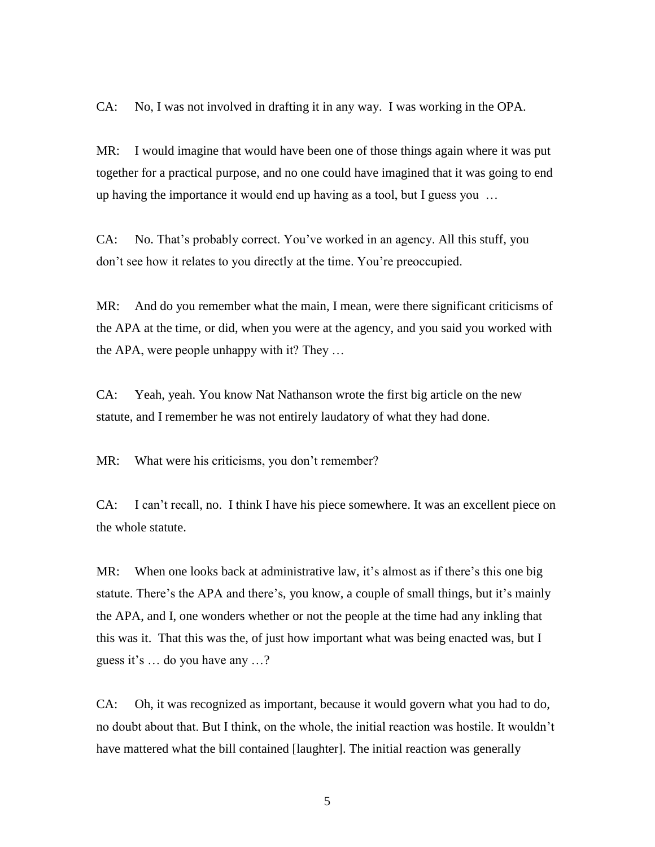CA: No, I was not involved in drafting it in any way. I was working in the OPA.

MR: I would imagine that would have been one of those things again where it was put together for a practical purpose, and no one could have imagined that it was going to end up having the importance it would end up having as a tool, but I guess you …

CA: No. That's probably correct. You've worked in an agency. All this stuff, you don't see how it relates to you directly at the time. You're preoccupied.

MR: And do you remember what the main, I mean, were there significant criticisms of the APA at the time, or did, when you were at the agency, and you said you worked with the APA, were people unhappy with it? They …

CA: Yeah, yeah. You know Nat Nathanson wrote the first big article on the new statute, and I remember he was not entirely laudatory of what they had done.

MR: What were his criticisms, you don't remember?

CA: I can't recall, no. I think I have his piece somewhere. It was an excellent piece on the whole statute.

MR: When one looks back at administrative law, it's almost as if there's this one big statute. There's the APA and there's, you know, a couple of small things, but it's mainly the APA, and I, one wonders whether or not the people at the time had any inkling that this was it. That this was the, of just how important what was being enacted was, but I guess it's … do you have any …?

CA: Oh, it was recognized as important, because it would govern what you had to do, no doubt about that. But I think, on the whole, the initial reaction was hostile. It wouldn't have mattered what the bill contained [laughter]. The initial reaction was generally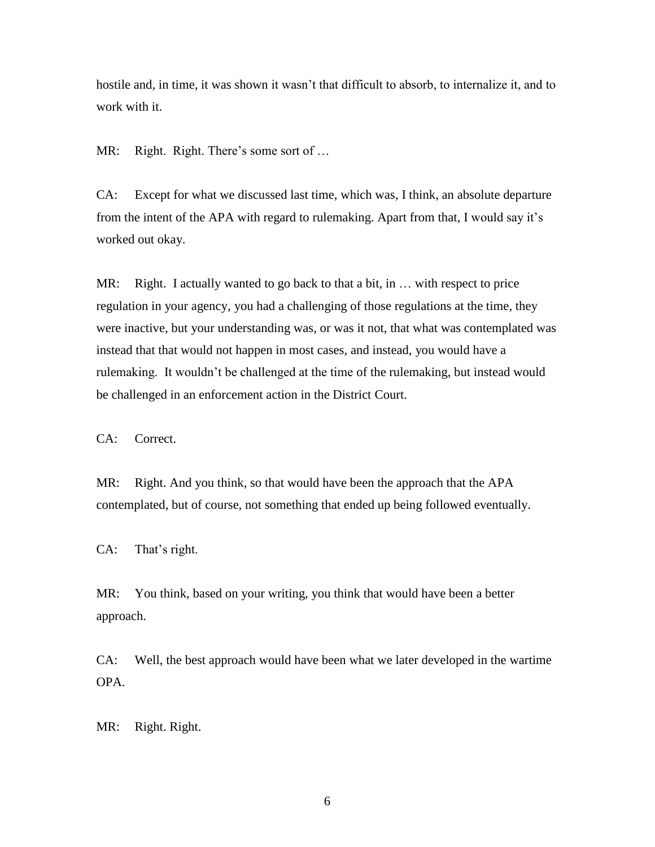hostile and, in time, it was shown it wasn't that difficult to absorb, to internalize it, and to work with it.

MR: Right. Right. There's some sort of ...

CA: Except for what we discussed last time, which was, I think, an absolute departure from the intent of the APA with regard to rulemaking. Apart from that, I would say it's worked out okay.

MR: Right. I actually wanted to go back to that a bit, in ... with respect to price regulation in your agency, you had a challenging of those regulations at the time, they were inactive, but your understanding was, or was it not, that what was contemplated was instead that that would not happen in most cases, and instead, you would have a rulemaking. It wouldn't be challenged at the time of the rulemaking, but instead would be challenged in an enforcement action in the District Court.

CA: Correct.

MR: Right. And you think, so that would have been the approach that the APA contemplated, but of course, not something that ended up being followed eventually.

CA: That's right.

MR: You think, based on your writing, you think that would have been a better approach.

CA: Well, the best approach would have been what we later developed in the wartime OPA.

MR: Right. Right.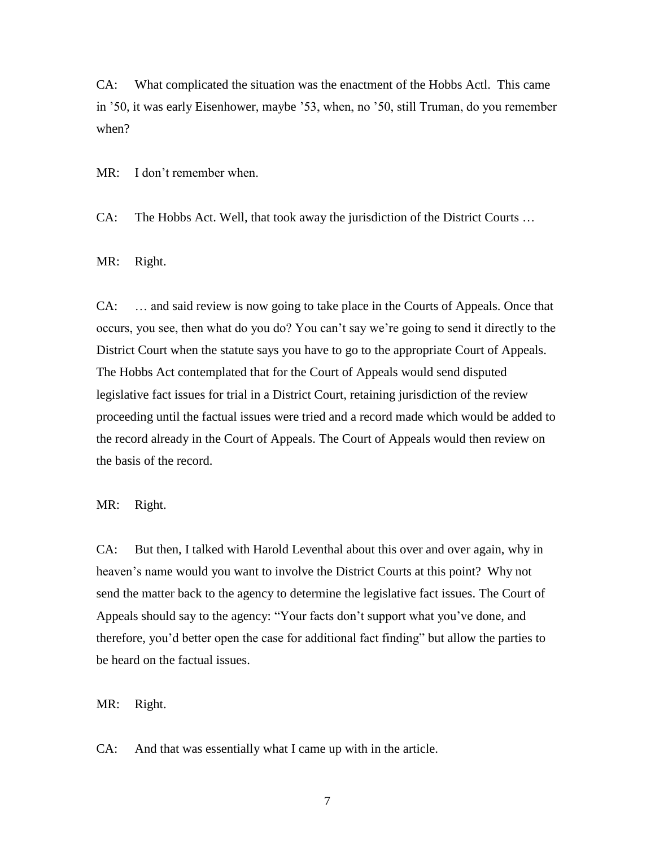CA: What complicated the situation was the enactment of the Hobbs Actl. This came in '50, it was early Eisenhower, maybe '53, when, no '50, still Truman, do you remember when?

MR: I don't remember when.

CA: The Hobbs Act. Well, that took away the jurisdiction of the District Courts …

MR: Right.

CA: … and said review is now going to take place in the Courts of Appeals. Once that occurs, you see, then what do you do? You can't say we're going to send it directly to the District Court when the statute says you have to go to the appropriate Court of Appeals. The Hobbs Act contemplated that for the Court of Appeals would send disputed legislative fact issues for trial in a District Court, retaining jurisdiction of the review proceeding until the factual issues were tried and a record made which would be added to the record already in the Court of Appeals. The Court of Appeals would then review on the basis of the record.

MR: Right.

CA: But then, I talked with Harold Leventhal about this over and over again, why in heaven's name would you want to involve the District Courts at this point? Why not send the matter back to the agency to determine the legislative fact issues. The Court of Appeals should say to the agency: "Your facts don't support what you've done, and therefore, you'd better open the case for additional fact finding" but allow the parties to be heard on the factual issues.

MR: Right.

CA: And that was essentially what I came up with in the article.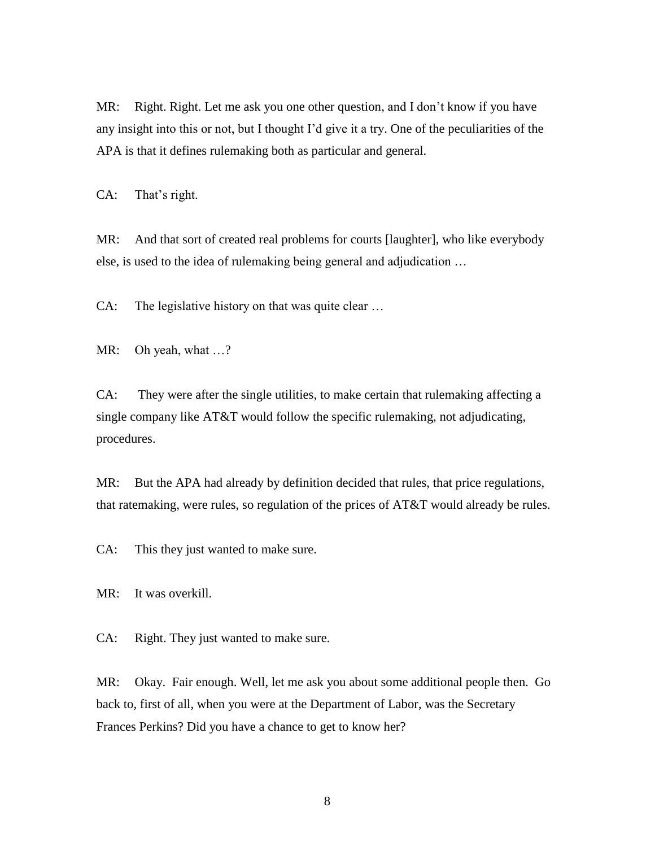MR: Right. Right. Let me ask you one other question, and I don't know if you have any insight into this or not, but I thought I'd give it a try. One of the peculiarities of the APA is that it defines rulemaking both as particular and general.

CA: That's right.

MR: And that sort of created real problems for courts [laughter], who like everybody else, is used to the idea of rulemaking being general and adjudication …

CA: The legislative history on that was quite clear …

MR: Oh yeah, what ...?

CA: They were after the single utilities, to make certain that rulemaking affecting a single company like AT&T would follow the specific rulemaking, not adjudicating, procedures.

MR: But the APA had already by definition decided that rules, that price regulations, that ratemaking, were rules, so regulation of the prices of AT&T would already be rules.

CA: This they just wanted to make sure.

MR: It was overkill.

CA: Right. They just wanted to make sure.

MR: Okay. Fair enough. Well, let me ask you about some additional people then. Go back to, first of all, when you were at the Department of Labor, was the Secretary Frances Perkins? Did you have a chance to get to know her?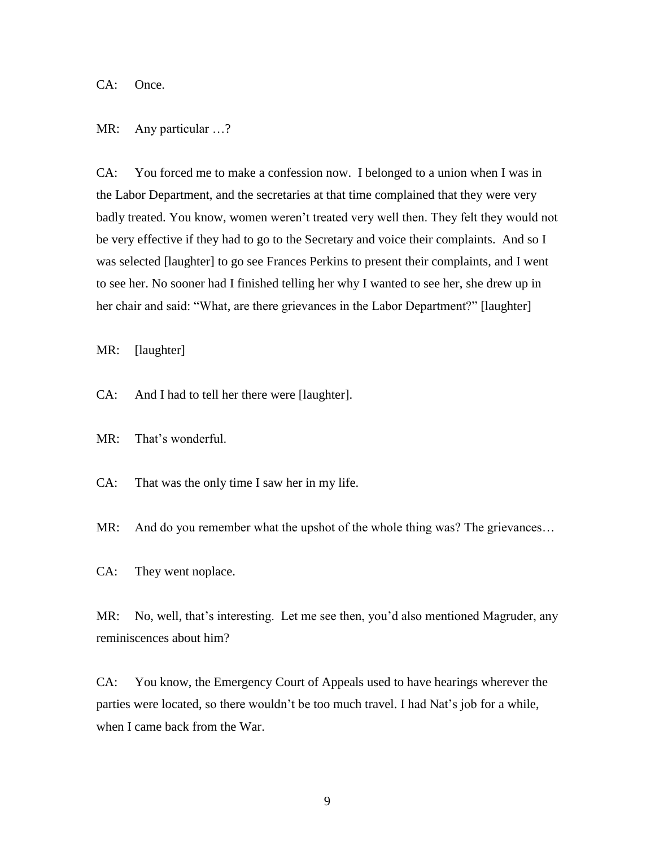CA: Once.

## MR: Any particular …?

CA: You forced me to make a confession now. I belonged to a union when I was in the Labor Department, and the secretaries at that time complained that they were very badly treated. You know, women weren't treated very well then. They felt they would not be very effective if they had to go to the Secretary and voice their complaints. And so I was selected [laughter] to go see Frances Perkins to present their complaints, and I went to see her. No sooner had I finished telling her why I wanted to see her, she drew up in her chair and said: "What, are there grievances in the Labor Department?" [laughter]

MR: [laughter]

CA: And I had to tell her there were [laughter].

MR: That's wonderful.

CA: That was the only time I saw her in my life.

MR: And do you remember what the upshot of the whole thing was? The grievances...

CA: They went noplace.

MR: No, well, that's interesting. Let me see then, you'd also mentioned Magruder, any reminiscences about him?

CA: You know, the Emergency Court of Appeals used to have hearings wherever the parties were located, so there wouldn't be too much travel. I had Nat's job for a while, when I came back from the War.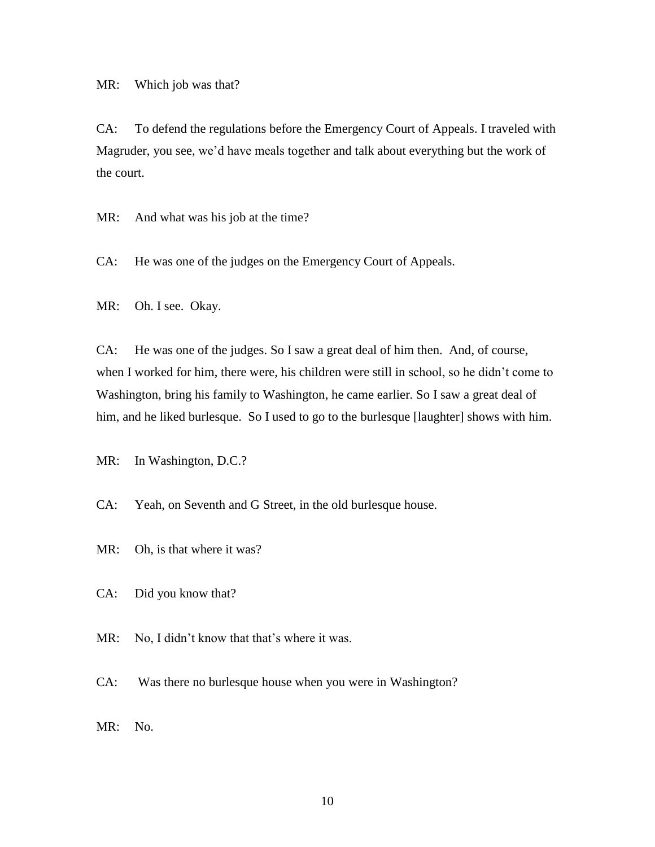MR: Which job was that?

CA: To defend the regulations before the Emergency Court of Appeals. I traveled with Magruder, you see, we'd have meals together and talk about everything but the work of the court.

MR: And what was his job at the time?

CA: He was one of the judges on the Emergency Court of Appeals.

MR: Oh. I see. Okay.

CA: He was one of the judges. So I saw a great deal of him then. And, of course, when I worked for him, there were, his children were still in school, so he didn't come to Washington, bring his family to Washington, he came earlier. So I saw a great deal of him, and he liked burlesque. So I used to go to the burlesque [laughter] shows with him.

MR: In Washington, D.C.?

CA: Yeah, on Seventh and G Street, in the old burlesque house.

MR: Oh, is that where it was?

CA: Did you know that?

MR: No, I didn't know that that's where it was.

CA: Was there no burlesque house when you were in Washington?

MR: No.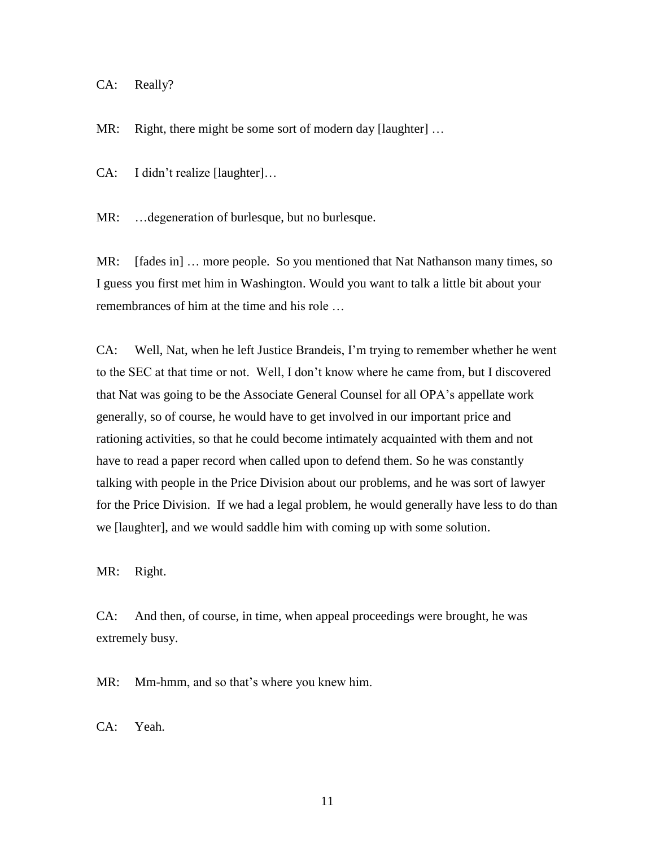CA: Really?

MR: Right, there might be some sort of modern day [laughter] ...

CA: I didn't realize [laughter]…

MR: …degeneration of burlesque, but no burlesque.

MR: [fades in] … more people. So you mentioned that Nat Nathanson many times, so I guess you first met him in Washington. Would you want to talk a little bit about your remembrances of him at the time and his role …

CA: Well, Nat, when he left Justice Brandeis, I'm trying to remember whether he went to the SEC at that time or not. Well, I don't know where he came from, but I discovered that Nat was going to be the Associate General Counsel for all OPA's appellate work generally, so of course, he would have to get involved in our important price and rationing activities, so that he could become intimately acquainted with them and not have to read a paper record when called upon to defend them. So he was constantly talking with people in the Price Division about our problems, and he was sort of lawyer for the Price Division. If we had a legal problem, he would generally have less to do than we [laughter], and we would saddle him with coming up with some solution.

MR: Right.

CA: And then, of course, in time, when appeal proceedings were brought, he was extremely busy.

MR: Mm-hmm, and so that's where you knew him.

CA: Yeah.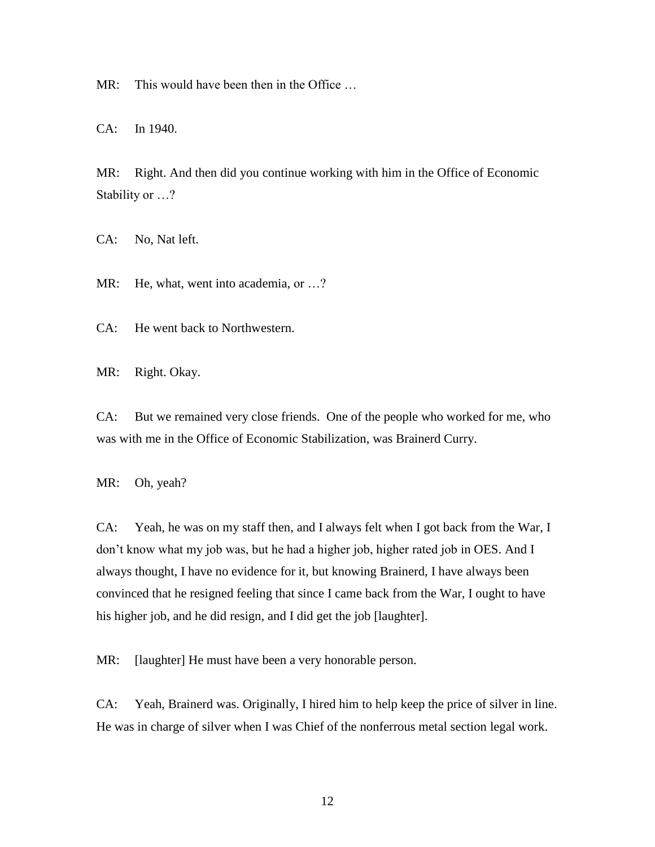MR: This would have been then in the Office ...

CA: In 1940.

MR: Right. And then did you continue working with him in the Office of Economic Stability or …?

CA: No, Nat left.

MR: He, what, went into academia, or ...?

CA: He went back to Northwestern.

MR: Right. Okay.

CA: But we remained very close friends. One of the people who worked for me, who was with me in the Office of Economic Stabilization, was Brainerd Curry.

MR: Oh, yeah?

CA: Yeah, he was on my staff then, and I always felt when I got back from the War, I don't know what my job was, but he had a higher job, higher rated job in OES. And I always thought, I have no evidence for it, but knowing Brainerd, I have always been convinced that he resigned feeling that since I came back from the War, I ought to have his higher job, and he did resign, and I did get the job [laughter].

MR: [laughter] He must have been a very honorable person.

CA: Yeah, Brainerd was. Originally, I hired him to help keep the price of silver in line. He was in charge of silver when I was Chief of the nonferrous metal section legal work.